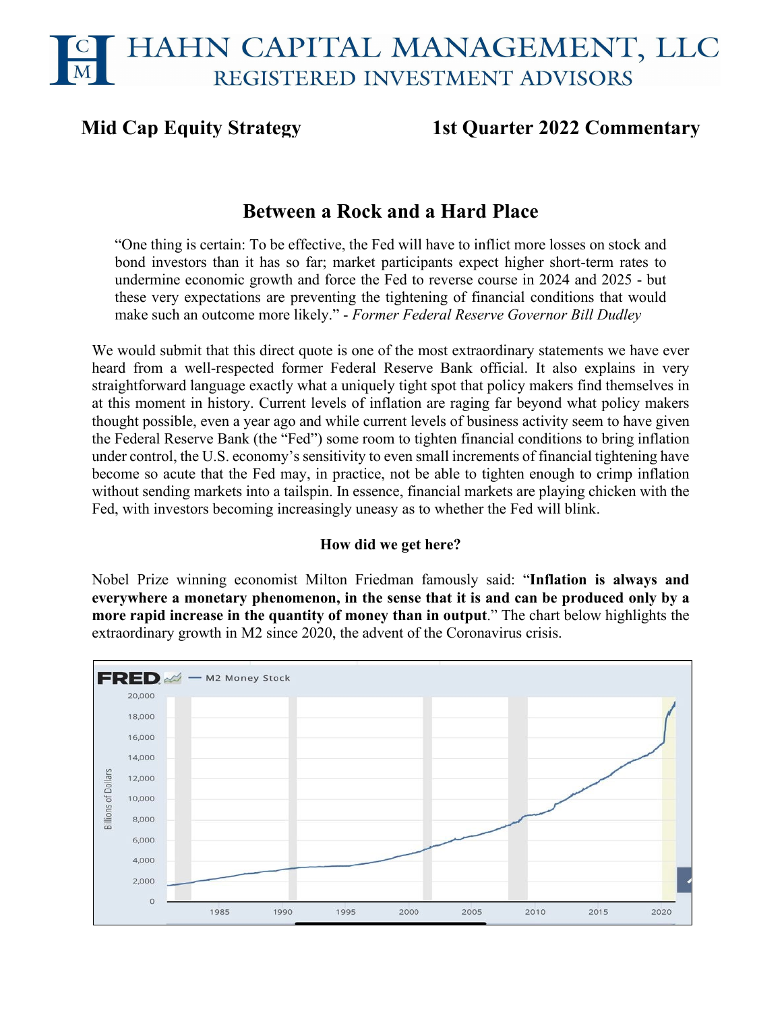# **Mid Cap Equity Strategy 1st Quarter 2022 Commentary**

# **Between a Rock and a Hard Place**

"One thing is certain: To be effective, the Fed will have to inflict more losses on stock and bond investors than it has so far; market participants expect higher short-term rates to undermine economic growth and force the Fed to reverse course in 2024 and 2025 - but these very expectations are preventing the tightening of financial conditions that would make such an outcome more likely." - *Former Federal Reserve Governor Bill Dudley*

We would submit that this direct quote is one of the most extraordinary statements we have ever heard from a well-respected former Federal Reserve Bank official. It also explains in very straightforward language exactly what a uniquely tight spot that policy makers find themselves in at this moment in history. Current levels of inflation are raging far beyond what policy makers thought possible, even a year ago and while current levels of business activity seem to have given the Federal Reserve Bank (the "Fed") some room to tighten financial conditions to bring inflation under control, the U.S. economy's sensitivity to even small increments of financial tightening have become so acute that the Fed may, in practice, not be able to tighten enough to crimp inflation without sending markets into a tailspin. In essence, financial markets are playing chicken with the Fed, with investors becoming increasingly uneasy as to whether the Fed will blink.

# **How did we get here?**

Nobel Prize winning economist Milton Friedman famously said: "**Inflation is always and everywhere a monetary phenomenon, in the sense that it is and can be produced only by a more rapid increase in the quantity of money than in output**." The chart below highlights the extraordinary growth in M2 since 2020, the advent of the Coronavirus crisis.

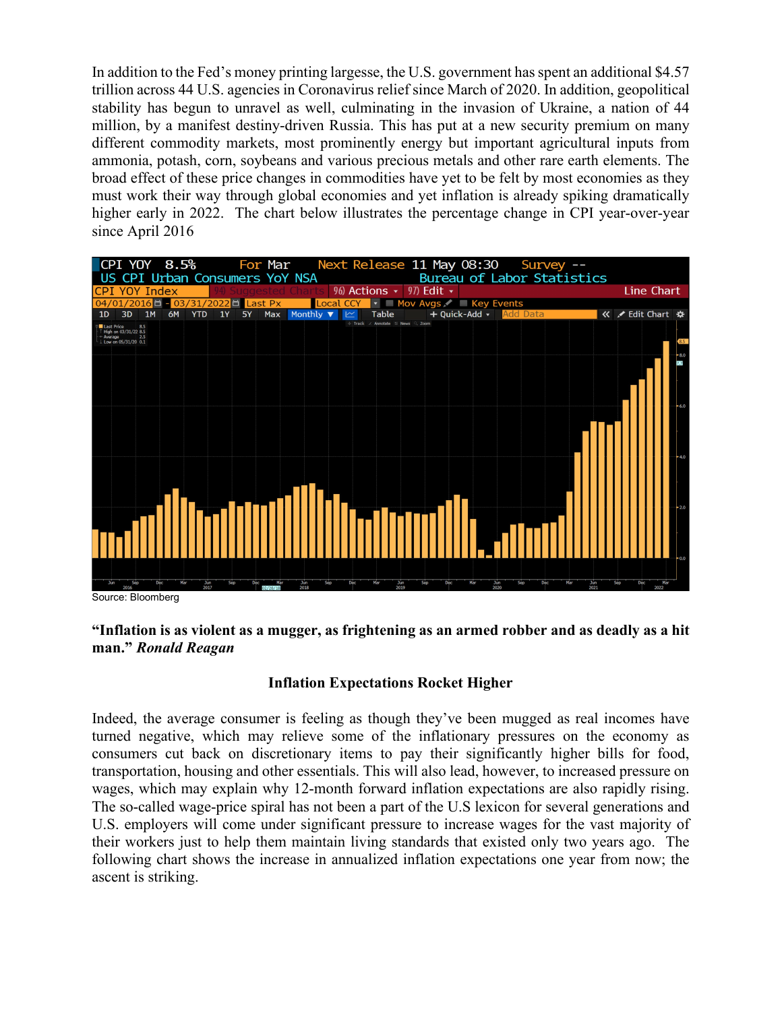In addition to the Fed's money printing largesse, the U.S. government has spent an additional \$4.57 trillion across 44 U.S. agencies in Coronavirus relief since March of 2020. In addition, geopolitical stability has begun to unravel as well, culminating in the invasion of Ukraine, a nation of 44 million, by a manifest destiny-driven Russia. This has put at a new security premium on many different commodity markets, most prominently energy but important agricultural inputs from ammonia, potash, corn, soybeans and various precious metals and other rare earth elements. The broad effect of these price changes in commodities have yet to be felt by most economies as they must work their way through global economies and yet inflation is already spiking dramatically higher early in 2022. The chart below illustrates the percentage change in CPI year-over-year since April 2016



Source: Bloomberg

# **"Inflation is as violent as a mugger, as frightening as an armed robber and as deadly as a hit man."** *Ronald Reagan*

# **Inflation Expectations Rocket Higher**

Indeed, the average consumer is feeling as though they've been mugged as real incomes have turned negative, which may relieve some of the inflationary pressures on the economy as consumers cut back on discretionary items to pay their significantly higher bills for food, transportation, housing and other essentials. This will also lead, however, to increased pressure on wages, which may explain why 12-month forward inflation expectations are also rapidly rising. The so-called wage-price spiral has not been a part of the U.S lexicon for several generations and U.S. employers will come under significant pressure to increase wages for the vast majority of their workers just to help them maintain living standards that existed only two years ago. The following chart shows the increase in annualized inflation expectations one year from now; the ascent is striking.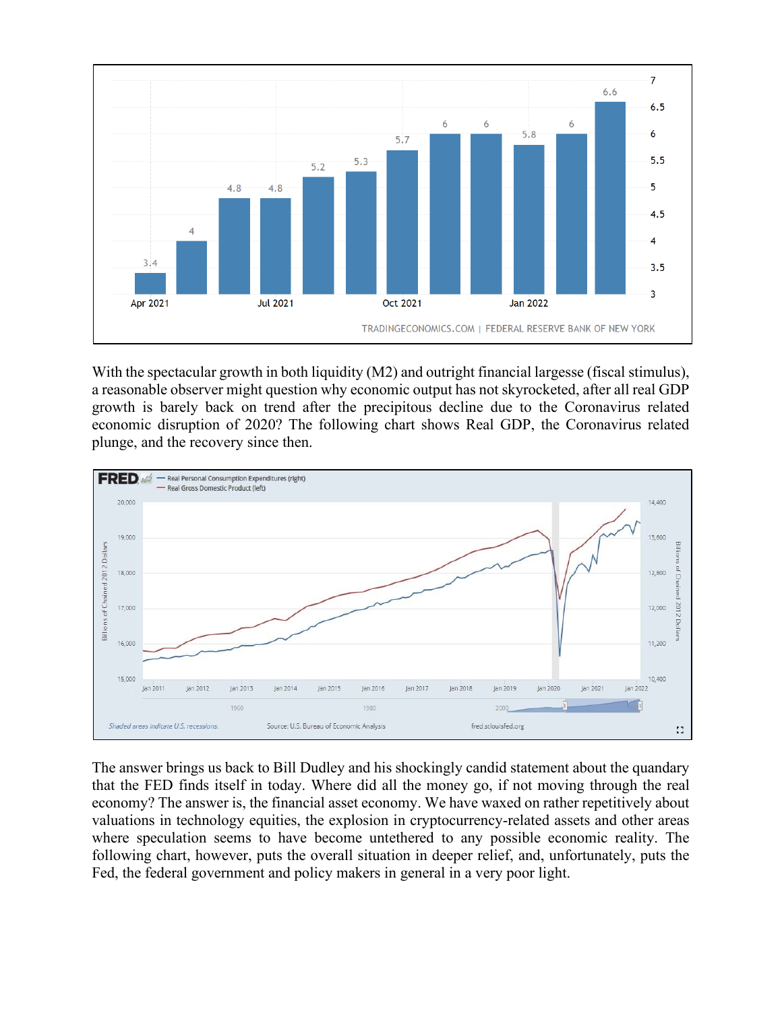

With the spectacular growth in both liquidity (M2) and outright financial largesse (fiscal stimulus), a reasonable observer might question why economic output has not skyrocketed, after all real GDP growth is barely back on trend after the precipitous decline due to the Coronavirus related economic disruption of 2020? The following chart shows Real GDP, the Coronavirus related plunge, and the recovery since then.



The answer brings us back to Bill Dudley and his shockingly candid statement about the quandary that the FED finds itself in today. Where did all the money go, if not moving through the real economy? The answer is, the financial asset economy. We have waxed on rather repetitively about valuations in technology equities, the explosion in cryptocurrency-related assets and other areas where speculation seems to have become untethered to any possible economic reality. The following chart, however, puts the overall situation in deeper relief, and, unfortunately, puts the Fed, the federal government and policy makers in general in a very poor light.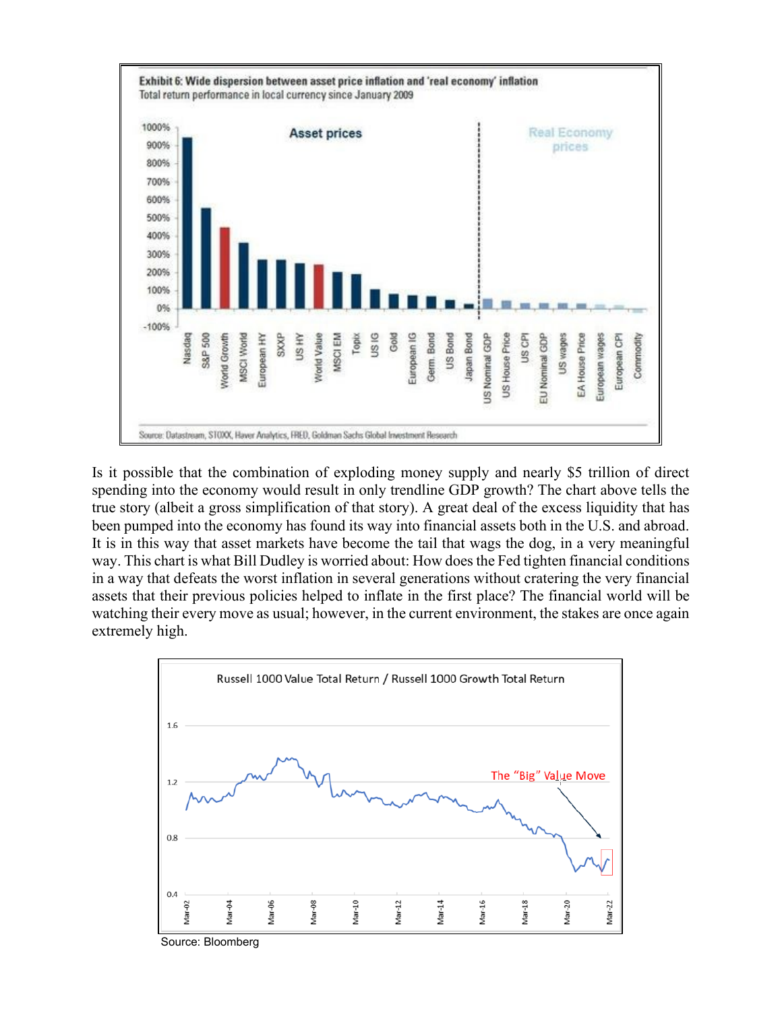

Is it possible that the combination of exploding money supply and nearly \$5 trillion of direct spending into the economy would result in only trendline GDP growth? The chart above tells the true story (albeit a gross simplification of that story). A great deal of the excess liquidity that has been pumped into the economy has found its way into financial assets both in the U.S. and abroad. It is in this way that asset markets have become the tail that wags the dog, in a very meaningful way. This chart is what Bill Dudley is worried about: How does the Fed tighten financial conditions in a way that defeats the worst inflation in several generations without cratering the very financial assets that their previous policies helped to inflate in the first place? The financial world will be watching their every move as usual; however, in the current environment, the stakes are once again extremely high.



Source: Bloomberg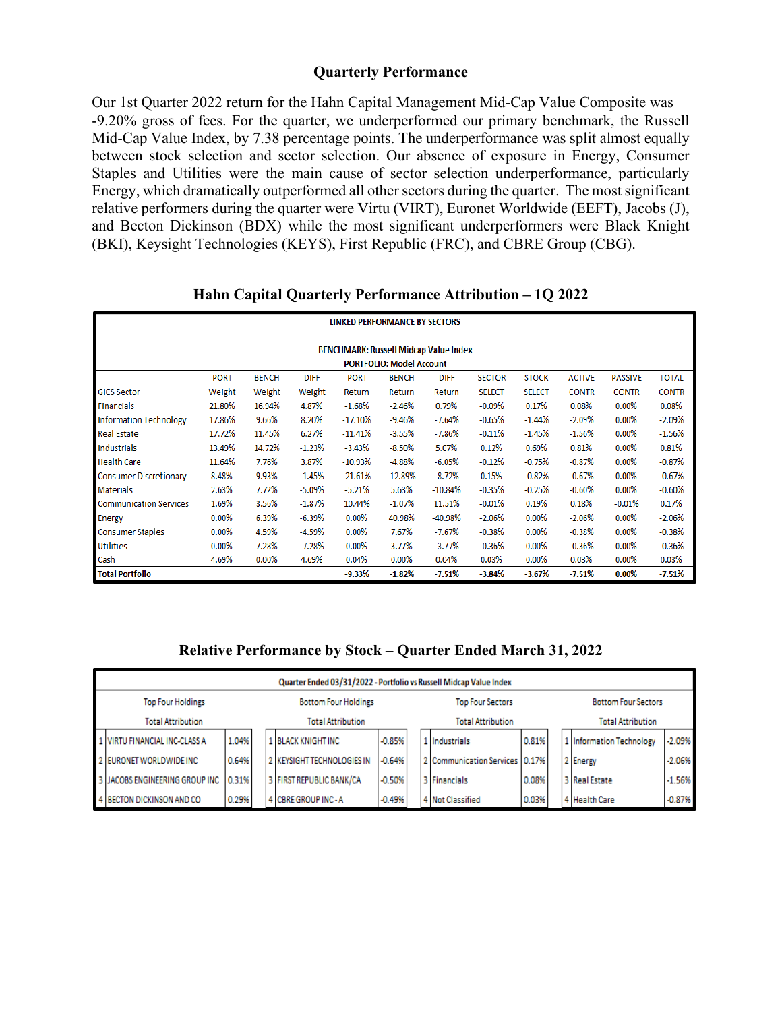### **Quarterly Performance**

Our 1st Quarter 2022 return for the Hahn Capital Management Mid-Cap Value Composite was -9.20% gross of fees. For the quarter, we underperformed our primary benchmark, the Russell Mid-Cap Value Index, by 7.38 percentage points. The underperformance was split almost equally between stock selection and sector selection. Our absence of exposure in Energy, Consumer Staples and Utilities were the main cause of sector selection underperformance, particularly Energy, which dramatically outperformed all other sectors during the quarter. The most significant relative performers during the quarter were Virtu (VIRT), Euronet Worldwide (EEFT), Jacobs (J), and Becton Dickinson (BDX) while the most significant underperformers were Black Knight (BKI), Keysight Technologies (KEYS), First Republic (FRC), and CBRE Group (CBG).

## **Hahn Capital Quarterly Performance Attribution – 1Q 2022**

| <b>LINKED PERFORMANCE BY SECTORS</b>                                                                                                                                         |                                                                                            |          |          |           |           |           |               |               |              |              |              |  |  |
|------------------------------------------------------------------------------------------------------------------------------------------------------------------------------|--------------------------------------------------------------------------------------------|----------|----------|-----------|-----------|-----------|---------------|---------------|--------------|--------------|--------------|--|--|
| <b>BENCHMARK: Russell Midcap Value Index</b>                                                                                                                                 |                                                                                            |          |          |           |           |           |               |               |              |              |              |  |  |
| <b>PORTFOLIO: Model Account</b>                                                                                                                                              |                                                                                            |          |          |           |           |           |               |               |              |              |              |  |  |
| <b>PORT</b><br><b>BENCH</b><br><b>DIFF</b><br><b>PORT</b><br><b>BENCH</b><br><b>DIFF</b><br><b>SECTOR</b><br><b>STOCK</b><br><b>ACTIVE</b><br><b>PASSIVE</b><br><b>TOTAL</b> |                                                                                            |          |          |           |           |           |               |               |              |              |              |  |  |
| <b>GICS Sector</b>                                                                                                                                                           | Weight                                                                                     | Weight   | Weight   | Return    | Return    | Return    | <b>SELECT</b> | <b>SELECT</b> | <b>CONTR</b> | <b>CONTR</b> | <b>CONTR</b> |  |  |
| Financials                                                                                                                                                                   | 21.80%                                                                                     | 16.94%   | 4.87%    | $-1.68%$  | $-2.46%$  | 0.79%     | $-0.09%$      | 0.17%         | 0.08%        | $0.00\%$     | 0.08%        |  |  |
| <b>Information Technology</b>                                                                                                                                                | 17.86%                                                                                     | 9.66%    | 8.20%    | $-17.10%$ | $-9.46%$  | $-7.64%$  | $-0.65%$      | $-1.44%$      | $-2.09%$     | 0.00%        | $-2.09%$     |  |  |
| <b>Real Estate</b>                                                                                                                                                           | 17.72%                                                                                     | 11.45%   | 6.27%    | $-11.41%$ | $-3.55%$  | $-7.86%$  | $-0.11%$      | $-1.45%$      | $-1.56%$     | $0.00\%$     | $-1.56%$     |  |  |
| Industrials                                                                                                                                                                  | 13.49%                                                                                     | 14.72%   | $-1.23%$ | $-3.43%$  | $-8.50%$  | 5.07%     | 0.12%         | 0.69%         | 0.81%        | 0.00%        | 0.81%        |  |  |
| <b>Health Care</b>                                                                                                                                                           | 11.64%                                                                                     | 7.76%    | 3.87%    | $-10.93%$ | $-4.88%$  | $-6.05%$  | $-0.12%$      | $-0.75%$      | $-0.87%$     | 0.00%        | $-0.87%$     |  |  |
| <b>Consumer Discretionary</b>                                                                                                                                                | 8.48%                                                                                      | 9.93%    | $-1.45%$ | $-21.61%$ | $-12.89%$ | $-8.72%$  | 0.15%         | $-0.82%$      | $-0.67%$     | 0.00%        | $-0.67%$     |  |  |
| <b>Materials</b>                                                                                                                                                             | 2.63%                                                                                      | 7.72%    | $-5.09%$ | $-5.21%$  | 5.63%     | $-10.84%$ | $-0.35%$      | $-0.25%$      | $-0.60%$     | 0.00%        | $-0.60%$     |  |  |
| <b>Communication Services</b>                                                                                                                                                | 1.69%                                                                                      | 3.56%    | $-1.87%$ | 10.44%    | $-1.07%$  | 11.51%    | $-0.01%$      | 0.19%         | 0.18%        | $-0.01%$     | 0.17%        |  |  |
| <b>Energy</b>                                                                                                                                                                | 0.00%                                                                                      | 6.39%    | $-6.39%$ | 0.00%     | 40.98%    | -40.98%   | $-2.06%$      | 0.00%         | $-2.06%$     | $0.00\%$     | $-2.06%$     |  |  |
| <b>Consumer Staples</b>                                                                                                                                                      | 0.00%                                                                                      | 4.59%    | $-4.59%$ | $0.00\%$  | 7.67%     | $-7.67%$  | $-0.38%$      | 0.00%         | $-0.38%$     | $0.00\%$     | $-0.38%$     |  |  |
| <b>Utilities</b>                                                                                                                                                             | 0.00%                                                                                      | 7.28%    | -7.28%   | $0.00\%$  | 3.77%     | $-3.77\%$ | $-0.36%$      | 0.00%         | $-0.36%$     | $0.00\%$     | $-0.36%$     |  |  |
| Cash                                                                                                                                                                         | 4.69%                                                                                      | $0.00\%$ | 4.69%    | 0.04%     | $0.00\%$  | 0.04%     | 0.03%         | $0.00\%$      | 0.03%        | 0.00%        | 0.03%        |  |  |
| <b>Total Portfolio</b>                                                                                                                                                       | $-9.33%$<br>$-1.82%$<br>$-7.51%$<br>$-3.84%$<br>$-3.67%$<br>$-7.51%$<br>0.00%<br>$-7.51\%$ |          |          |           |           |           |               |               |              |              |              |  |  |

**Relative Performance by Stock – Quarter Ended March 31, 2022**

|                          | Quarter Ended 03/31/2022 - Portfolio vs Russell Midcap Value Index |       |  |                             |                          |  |                                  |       |  |                            |          |  |  |
|--------------------------|--------------------------------------------------------------------|-------|--|-----------------------------|--------------------------|--|----------------------------------|-------|--|----------------------------|----------|--|--|
| <b>Top Four Holdings</b> |                                                                    |       |  | <b>Bottom Four Holdings</b> |                          |  | <b>Top Four Sectors</b>          |       |  | <b>Bottom Four Sectors</b> |          |  |  |
|                          | <b>Total Attribution</b>                                           |       |  | <b>Total Attribution</b>    | <b>Total Attribution</b> |  |                                  |       |  | <b>Total Attribution</b>   |          |  |  |
|                          | 1 VIRTU FINANCIAL INC-CLASS A                                      | 1.04% |  | <b>1 BLACK KNIGHT INC</b>   | $-0.85%$                 |  | 1 Industrials                    | 0.81% |  | 1 Information Technology   | $-2.09%$ |  |  |
|                          | 2 EURONET WORLDWIDE INC                                            | 0.64% |  | 2 KEYSIGHT TECHNOLOGIES IN  | $-0.64%$                 |  | 2 Communication Services   0.17% |       |  | 2 Energy                   | $-2.06%$ |  |  |
|                          | 3 JACOBS ENGINEERING GROUP INC                                     | 0.31% |  | 3 FIRST REPUBLIC BANK/CA    | $-0.50%$                 |  | 3 Financials                     | 0.08% |  | 3 Real Estate              | $-1.56%$ |  |  |
|                          | 4 BECTON DICKINSON AND CO                                          | 0.29% |  | 4 CBREGROUP INC-A           | $-0.49%$                 |  | 4 Not Classified                 | 0.03% |  | 4 Health Care              | $-0.87%$ |  |  |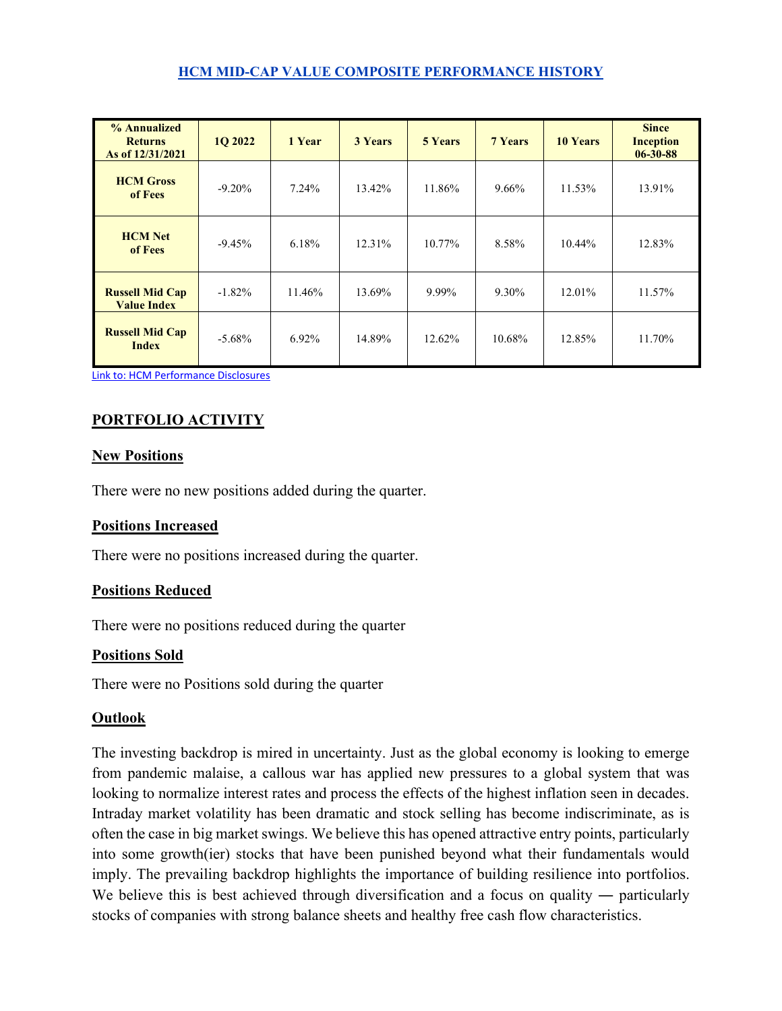#### **HCM MID-CAP VALUE COMPOSITE PERFORMANCE HISTORY**

| % Annualized<br><b>Returns</b><br>As of 12/31/2021 | <b>10 2022</b> | 1 Year | <b>3 Years</b> | <b>5 Years</b> | <b>7 Years</b> | <b>10 Years</b> | <b>Since</b><br><b>Inception</b><br>$06 - 30 - 88$ |
|----------------------------------------------------|----------------|--------|----------------|----------------|----------------|-----------------|----------------------------------------------------|
| <b>HCM Gross</b><br>of Fees                        | $-9.20\%$      | 7.24%  | 13.42%         | 11.86%         | 9.66%          | 11.53%          | 13.91%                                             |
| <b>HCM Net</b><br>of Fees                          | $-9.45\%$      | 6.18%  | 12.31%         | 10.77%         | 8.58%          | 10.44%          | 12.83%                                             |
| <b>Russell Mid Cap</b><br><b>Value Index</b>       | $-1.82\%$      | 11.46% | 13.69%         | 9.99%          | 9.30%          | 12.01%          | 11.57%                                             |
| <b>Russell Mid Cap</b><br><b>Index</b>             | $-5.68\%$      | 6.92%  | 14.89%         | 12.62%         | 10.68%         | 12.85%          | 11.70%                                             |

[Link to: HCM Performance Disclosures](https://img1.wsimg.com/blobby/go/c17b70fa-11ea-4e3b-9a08-77e0dd611618/downloads/Hahn_Performance_Disclosure.pdf?ver=1618420639591)

# **PORTFOLIO ACTIVITY**

#### **New Positions**

There were no new positions added during the quarter.

#### **Positions Increased**

There were no positions increased during the quarter.

#### **Positions Reduced**

There were no positions reduced during the quarter

#### **Positions Sold**

There were no Positions sold during the quarter

#### **Outlook**

The investing backdrop is mired in uncertainty. Just as the global economy is looking to emerge from pandemic malaise, a callous war has applied new pressures to a global system that was looking to normalize interest rates and process the effects of the highest inflation seen in decades. Intraday market volatility has been dramatic and stock selling has become indiscriminate, as is often the case in big market swings. We believe this has opened attractive entry points, particularly into some growth(ier) stocks that have been punished beyond what their fundamentals would imply. The prevailing backdrop highlights the importance of building resilience into portfolios. We believe this is best achieved through diversification and a focus on quality — particularly stocks of companies with strong balance sheets and healthy free cash flow characteristics.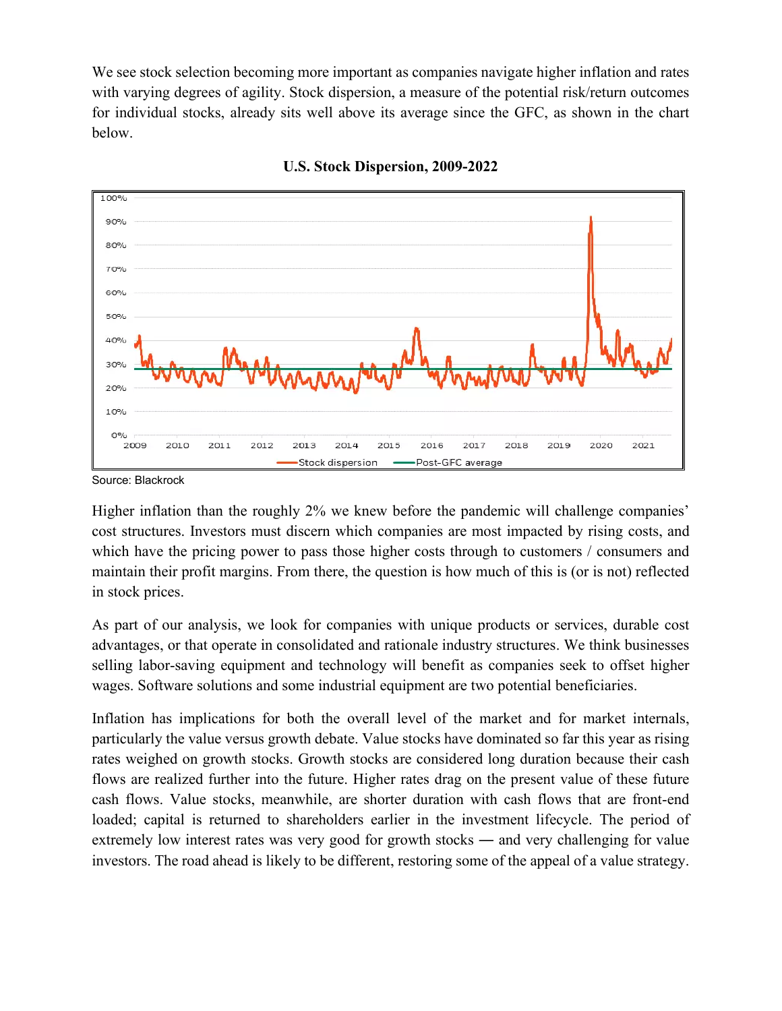We see stock selection becoming more important as companies navigate higher inflation and rates with varying degrees of agility. Stock dispersion, a measure of the potential risk/return outcomes for individual stocks, already sits well above its average since the GFC, as shown in the chart below.



**U.S. Stock Dispersion, 2009-2022**

Source: Blackrock

Higher inflation than the roughly 2% we knew before the pandemic will challenge companies' cost structures. Investors must discern which companies are most impacted by rising costs, and which have the pricing power to pass those higher costs through to customers / consumers and maintain their profit margins. From there, the question is how much of this is (or is not) reflected in stock prices.

As part of our analysis, we look for companies with unique products or services, durable cost advantages, or that operate in consolidated and rationale industry structures. We think businesses selling labor-saving equipment and technology will benefit as companies seek to offset higher wages. Software solutions and some industrial equipment are two potential beneficiaries.

Inflation has implications for both the overall level of the market and for market internals, particularly the value versus growth debate. Value stocks have dominated so far this year as rising rates weighed on growth stocks. Growth stocks are considered long duration because their cash flows are realized further into the future. Higher rates drag on the present value of these future cash flows. Value stocks, meanwhile, are shorter duration with cash flows that are front-end loaded; capital is returned to shareholders earlier in the investment lifecycle. The period of extremely low interest rates was very good for growth stocks — and very challenging for value investors. The road ahead is likely to be different, restoring some of the appeal of a value strategy.